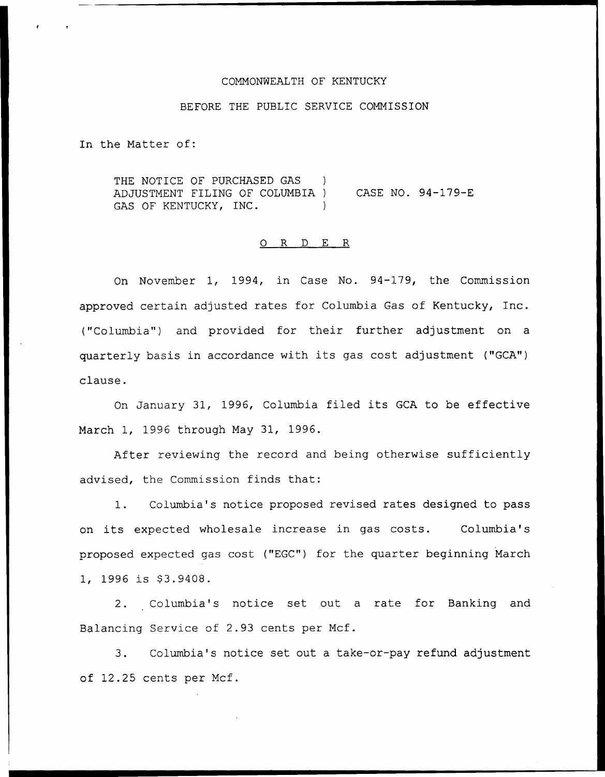#### COMMONWEALTH OF KENTUCKY

#### BEFORE THE PUBLIC SERVICE COMMISSION

In the Matter of:

THE NOTICE OF PURCHASED GAS ADJUSTMENT FILING OF COLUMBIA ) CASE NO. 94-179-E GAS OF KENTUCKY, INC.

## 0 R <sup>D</sup> E R

On November 1, 1994, in Case No. 94-179, the Commission approved certain adjusted rates for Columbia Gas of Kentucky, Inc. ("Columbia") and provided for their further adjustment on a quarterly basis in accordance with its gas cost adjustment ("GCA") clause.

On January 31, 1996, Columbia filed its GCA to be effective March 1, 1996 through May 31, 1996.

After reviewing the record and being otherwise sufficiently advised, the Commission finds that:

1. Columbia's notice proposed revised rates designed to pass on its expected wholesale increase in gas costs. Columbia's proposed expected gas cost ("EGC") for the quarter beginning March 1, 1996 is \$3.9408.

2. Columbia's notice set out a rate for Banking and Balancing Service of 2.93 cents per Mcf.

3. Columbia's notice set out a take-or-pay refund adjustment of 12.25 cents per Mcf.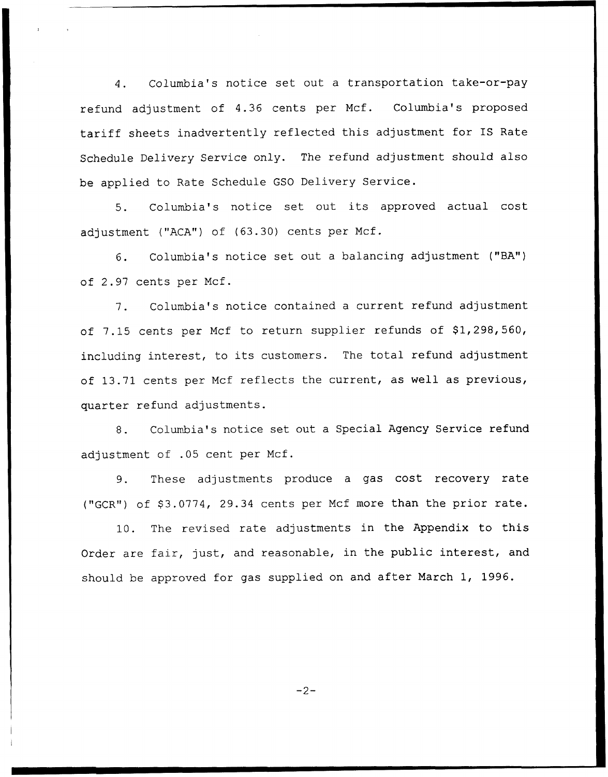4. Columbia's notice set out a transportation take-or-pay refund adjustment of 4.36 cents per Ncf. Columbia's proposed tariff sheets inadvertently reflected this adjustment for IS Rate Schedule Delivery Service only. The refund adjustment should also be applied to Rate Schedule GSO Delivery Service.

5. Columbia's notice set out its approved actual cost adjustment ("ACA") of (63.30) cents per Mcf.

6. Columbia's notice set out a balancing adjustment ("BA") of 2.97 cents per Ncf.

7. Columbia's notice contained a current refund adjustment of 7.15 cents per Mcf to return supplier refunds of \$1,298,560, including interest, to its customers. The total refund adjustment of 13.71 cents per Mcf reflects the current, as well as previous, quarter refund adjustments.

8. Columbia's notice set out a Special Agency Service refund adjustment of .05 cent per Ncf.

9. These adjustments produce <sup>a</sup> gas cost recovery rate ("GCR") of \$3.0774, 29.34 cents per Mcf more than the prior rate.

10. The revised rate adjustments in the Appendix to this Order are fair, just, and reasonable, in the public interest, and should be approved for gas supplied on and after March 1, 1996.

 $-2-$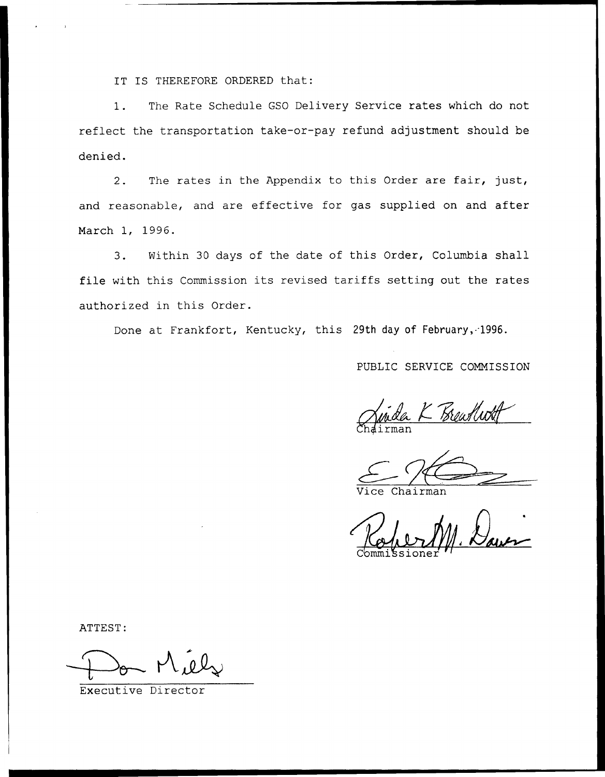IT IS THEREFORE ORDERED that:

1. The Rate Schedule GSO Delivery Service rates which do not reflect the transportation take-or-pay refund adjustment should be denied.

2. The rates in the Appendix to this Order are fair, just, and reasonable, and are effective for gas supplied on and after March 1, 1996.

3. Within 30 days of the date of this Order, Columbia shall file with this Commission its revised tariffs setting out the rates authorized in this Order.

Done at Frankfort, Kentucky, this 29th day of February, 1996.

PUBLIC SERVICE COMMISSION

 $Ch\'alirma$ 

Chairman

ATTEST:

 $M\acute{u}l_{r}$ 

Executive Director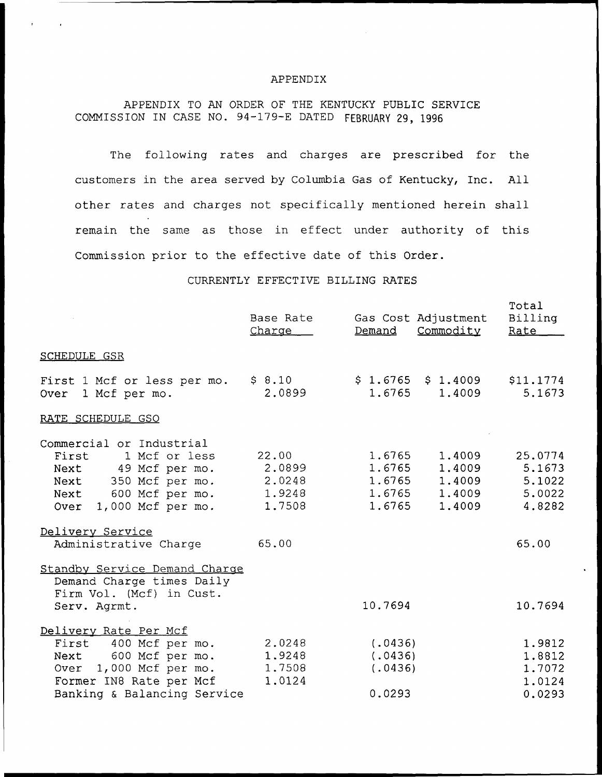#### APPENDIX

# APPENDIX TO AN ORDER OF THE KENTUCKY PUBLIC SERVICE COMMISSION IN CASE NO. 94-179-E DATED FEBRUARY 29, 1996

The following rates and charges are prescribed for the customers in the area served by Columbia Gas of Kentucky, Inc. All other rates and charges not specifically mentioned herein shall remain the same as those in effect under authority of this Commission prior to the effective date of this Order.

### CURRENTLY EFFECTIVE BILLING RATES

|                                                                                                                                                            | Base Rate<br>Charge                           |                                         | Gas Cost Adjustment<br>Demand Commodity                          | Total<br>Billing<br>Rate                        |
|------------------------------------------------------------------------------------------------------------------------------------------------------------|-----------------------------------------------|-----------------------------------------|------------------------------------------------------------------|-------------------------------------------------|
| <b>SCHEDULE GSR</b>                                                                                                                                        |                                               |                                         |                                                                  |                                                 |
| First 1 Mcf or less per mo.<br>Over 1 Mcf per mo.                                                                                                          | \$8.10<br>2.0899                              |                                         | $$1.6765$ $$1.4009$ $$11.1774$<br>1.6765 1.4009                  | 5.1673                                          |
| RATE SCHEDULE GSO                                                                                                                                          |                                               |                                         |                                                                  |                                                 |
| Commercial or Industrial<br>First<br>1 Mcf or less<br>Next 49 Mcf per mo.<br>Next 350 Mcf per mo.<br>Next 600 Mcf per mo.<br>Over 1,000 Mcf per mo.        | 22.00<br>2,0899<br>2.0248<br>1.9248<br>1.7508 | 1.6765<br>1.6765<br>1.6765              | 1,4009<br>1,4009<br>1.6765 1.4009<br>$1.6765$ $1.4009$<br>1,4009 | 25.0774<br>5.1673<br>5.1022<br>5.0022<br>4.8282 |
| Delivery Service<br>Administrative Charge                                                                                                                  | 65.00                                         |                                         |                                                                  | 65.00                                           |
| Standby Service Demand Charge<br>Demand Charge times Daily<br>Firm Vol. (Mcf) in Cust.<br>Serv. Agrmt.                                                     |                                               | 10.7694                                 |                                                                  | 10.7694                                         |
| Delivery Rate Per Mcf<br>First 400 Mcf per mo.<br>Next 600 Mcf per mo.<br>Over 1,000 Mcf per mo.<br>Former IN8 Rate per Mcf<br>Banking & Balancing Service | 2.0248<br>1,9248<br>1.7508<br>1.0124          | (.0436)<br>(.0436)<br>(.0436)<br>0.0293 |                                                                  | 1.9812<br>1.8812<br>1.7072<br>1.0124<br>0.0293  |